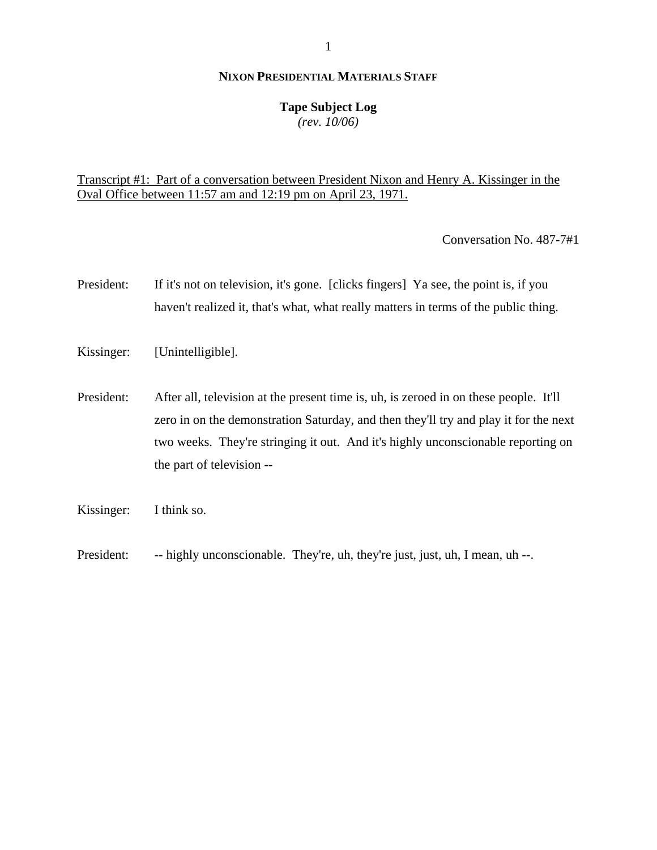## **Tape Subject Log**

*(rev. 10/06)*

# Transcript #1: Part of a conversation between President Nixon and Henry A. Kissinger in the Oval Office between 11:57 am and 12:19 pm on April 23, 1971.

Conversation No. 487-7#1

- President: If it's not on television, it's gone. [clicks fingers] Ya see, the point is, if you haven't realized it, that's what, what really matters in terms of the public thing.
- Kissinger: [Unintelligible].
- President: After all, television at the present time is, uh, is zeroed in on these people. It'll zero in on the demonstration Saturday, and then they'll try and play it for the next two weeks. They're stringing it out. And it's highly unconscionable reporting on the part of television --
- Kissinger: I think so.
- President: -- highly unconscionable. They're, uh, they're just, just, uh, I mean, uh --.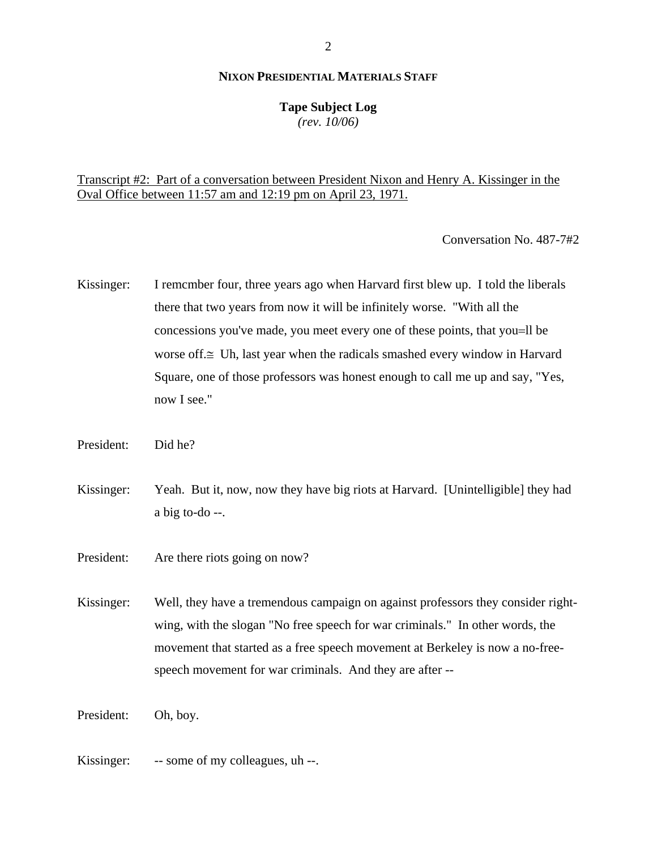### **Tape Subject Log**

*(rev. 10/06)*

Transcript #2: Part of a conversation between President Nixon and Henry A. Kissinger in the Oval Office between 11:57 am and 12:19 pm on April 23, 1971.

Conversation No. 487-7#2

Kissinger: I remcmber four, three years ago when Harvard first blew up. I told the liberals there that two years from now it will be infinitely worse. "With all the concessions you've made, you meet every one of these points, that you=ll be worse off.≅ Uh, last year when the radicals smashed every window in Harvard Square, one of those professors was honest enough to call me up and say, "Yes, now I see."

President: Did he?

Kissinger: Yeah. But it, now, now they have big riots at Harvard. [Unintelligible] they had a big to-do --.

President: Are there riots going on now?

Kissinger: Well, they have a tremendous campaign on against professors they consider rightwing, with the slogan "No free speech for war criminals." In other words, the movement that started as a free speech movement at Berkeley is now a no-freespeech movement for war criminals. And they are after --

President: Oh, boy.

Kissinger: -- some of my colleagues, uh --.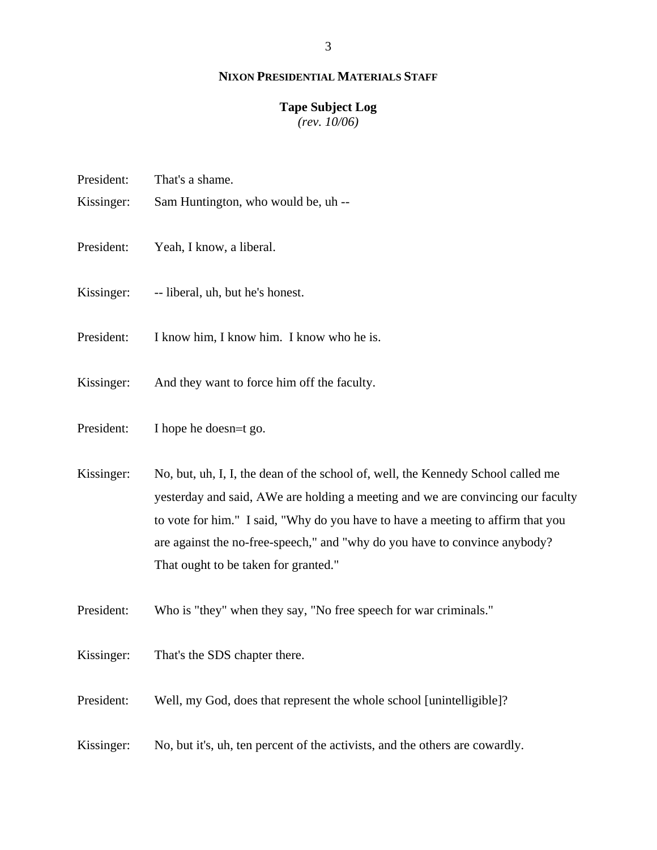#### **Tape Subject Log**

*(rev. 10/06)*

- President: That's a shame.
- Kissinger: Sam Huntington, who would be, uh --
- President: Yeah, I know, a liberal.
- Kissinger: -- liberal, uh, but he's honest.
- President: I know him, I know him. I know who he is.
- Kissinger: And they want to force him off the faculty.
- President: I hope he doesn=t go.
- Kissinger: No, but, uh, I, I, the dean of the school of, well, the Kennedy School called me yesterday and said, ΑWe are holding a meeting and we are convincing our faculty to vote for him." I said, "Why do you have to have a meeting to affirm that you are against the no-free-speech," and "why do you have to convince anybody? That ought to be taken for granted."
- President: Who is "they" when they say, "No free speech for war criminals."
- Kissinger: That's the SDS chapter there.
- President: Well, my God, does that represent the whole school [unintelligible]?
- Kissinger: No, but it's, uh, ten percent of the activists, and the others are cowardly.